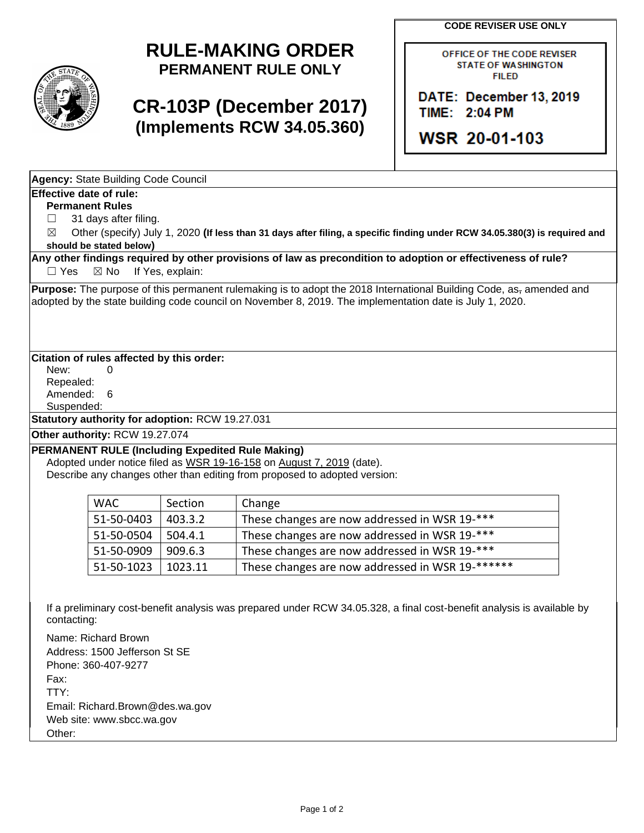**CODE REVISER USE ONLY**



## **RULE-MAKING ORDER PERMANENT RULE ONLY**

# **CR-103P (December 2017) (Implements RCW 34.05.360)**

OFFICE OF THE CODE REVISER **STATE OF WASHINGTON FILED** 

DATE: December 13, 2019 TIME: 2:04 PM

**WSR 20-01-103** 

**Agency:** State Building Code Council

### **Effective date of rule:**

**Permanent Rules**

□ 31 days after filing.

☒ Other (specify) July 1, 2020 **(If less than 31 days after filing, a specific finding under RCW 34.05.380(3) is required and should be stated below)**

**Any other findings required by other provisions of law as precondition to adoption or effectiveness of rule?** □ Yes ⊠ No If Yes, explain:

**Purpose:** The purpose of this permanent rulemaking is to adopt the 2018 International Building Code, as, amended and adopted by the state building code council on November 8, 2019. The implementation date is July 1, 2020.

### **Citation of rules affected by this order:**

New: 0 Repealed: Amended: 6

Suspended:

**Statutory authority for adoption:** RCW 19.27.031

**Other authority:** RCW 19.27.074

### **PERMANENT RULE (Including Expedited Rule Making)**

Adopted under notice filed as WSR 19-16-158 on August 7, 2019 (date). Describe any changes other than editing from proposed to adopted version:

| <b>WAC</b> | Section | Change                                           |
|------------|---------|--------------------------------------------------|
| 51-50-0403 | 403.3.2 | These changes are now addressed in WSR 19-***    |
| 51-50-0504 | 504.4.1 | These changes are now addressed in WSR 19-***    |
| 51-50-0909 | 909.6.3 | These changes are now addressed in WSR 19-***    |
| 51-50-1023 | 1023.11 | These changes are now addressed in WSR 19-****** |

If a preliminary cost-benefit analysis was prepared under RCW 34.05.328, a final cost-benefit analysis is available by contacting:

Name: Richard Brown Address: 1500 Jefferson St SE Phone: 360-407-9277 Fax: TTY: Email: Richard.Brown@des.wa.gov Web site: www.sbcc.wa.gov Other: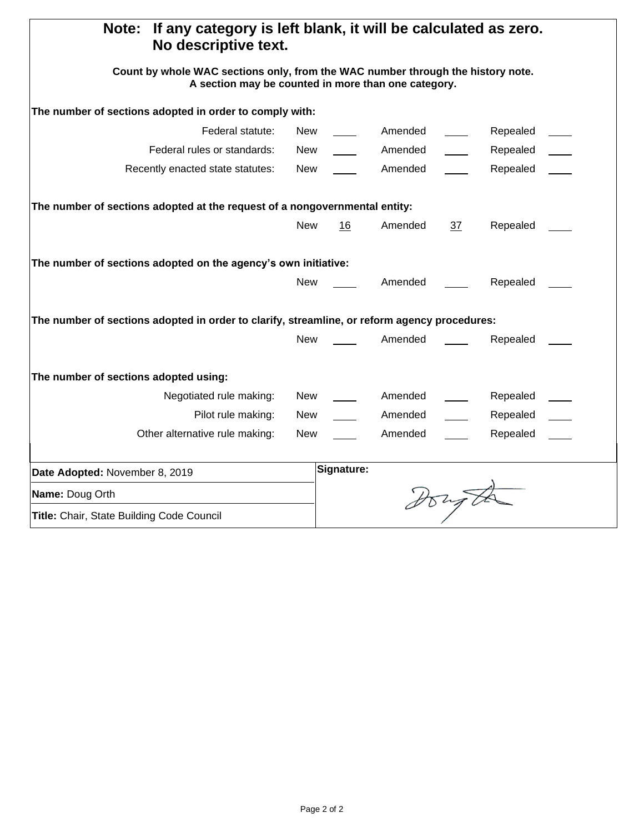| If any category is left blank, it will be calculated as zero.<br>Note:<br>No descriptive text.                                         |            |            |         |      |          |  |  |  |  |
|----------------------------------------------------------------------------------------------------------------------------------------|------------|------------|---------|------|----------|--|--|--|--|
| Count by whole WAC sections only, from the WAC number through the history note.<br>A section may be counted in more than one category. |            |            |         |      |          |  |  |  |  |
| The number of sections adopted in order to comply with:                                                                                |            |            |         |      |          |  |  |  |  |
| Federal statute:                                                                                                                       | New        |            | Amended |      | Repealed |  |  |  |  |
| Federal rules or standards:                                                                                                            | <b>New</b> |            | Amended |      | Repealed |  |  |  |  |
| Recently enacted state statutes:                                                                                                       | New        |            | Amended |      | Repealed |  |  |  |  |
| The number of sections adopted at the request of a nongovernmental entity:                                                             |            |            |         |      |          |  |  |  |  |
|                                                                                                                                        | <b>New</b> | 16         | Amended | 37   | Repealed |  |  |  |  |
| The number of sections adopted on the agency's own initiative:                                                                         |            |            |         |      |          |  |  |  |  |
|                                                                                                                                        | <b>New</b> |            | Amended |      | Repealed |  |  |  |  |
| The number of sections adopted in order to clarify, streamline, or reform agency procedures:                                           |            |            |         |      |          |  |  |  |  |
|                                                                                                                                        | <b>New</b> |            | Amended |      | Repealed |  |  |  |  |
| The number of sections adopted using:                                                                                                  |            |            |         |      |          |  |  |  |  |
| Negotiated rule making:                                                                                                                | <b>New</b> |            | Amended |      | Repealed |  |  |  |  |
| Pilot rule making:                                                                                                                     | New        |            | Amended |      | Repealed |  |  |  |  |
| Other alternative rule making:                                                                                                         | New        |            | Amended |      | Repealed |  |  |  |  |
| Date Adopted: November 8, 2019                                                                                                         |            | Signature: |         |      |          |  |  |  |  |
| Name: Doug Orth                                                                                                                        |            |            |         |      |          |  |  |  |  |
| Title: Chair, State Building Code Council                                                                                              |            |            |         | tong |          |  |  |  |  |